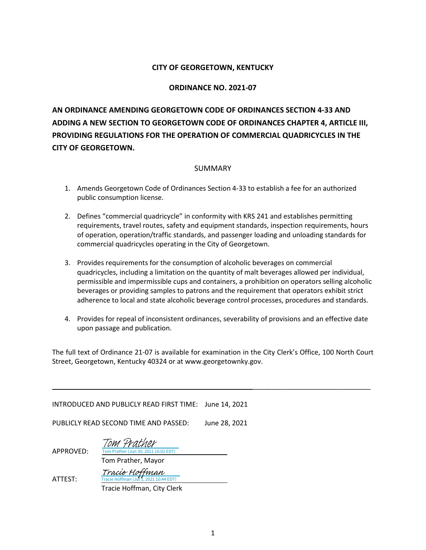#### **CITY OF GEORGETOWN, KENTUCKY**

#### **ORDINANCE NO. 2021-07**

**AN ORDINANCE AMENDING GEORGETOWN CODE OF ORDINANCES SECTION 4-33 AND ADDING A NEW SECTION TO GEORGETOWN CODE OF ORDINANCES CHAPTER 4, ARTICLE III, PROVIDING REGULATIONS FOR THE OPERATION OF COMMERCIAL QUADRICYCLES IN THE CITY OF GEORGETOWN.**

#### SUMMARY

- 1. Amends Georgetown Code of Ordinances Section 4-33 to establish a fee for an authorized public consumption license.
- 2. Defines "commercial quadricycle" in conformity with KRS 241 and establishes permitting requirements, travel routes, safety and equipment standards, inspection requirements, hours of operation, operation/traffic standards, and passenger loading and unloading standards for commercial quadricycles operating in the City of Georgetown.
- 3. Provides requirements for the consumption of alcoholic beverages on commercial quadricycles, including a limitation on the quantity of malt beverages allowed per individual, permissible and impermissible cups and containers, a prohibition on operators selling alcoholic beverages or providing samples to patrons and the requirement that operators exhibit strict adherence to local and state alcoholic beverage control processes, procedures and standards.
- 4. Provides for repeal of inconsistent ordinances, severability of provisions and an effective date upon passage and publication.

The full text of Ordinance 21-07 is available for examination in the City Clerk's Office, 100 North Court Street, Georgetown, Kentucky 40324 or at www.georgetownky.gov.

\_\_\_\_\_\_\_\_\_\_\_\_\_\_\_\_\_\_\_\_\_\_\_\_\_\_\_\_\_\_\_

INTRODUCED AND PUBLICLY READ FIRST TIME: June 14, 2021

PUBLICLY READ SECOND TIME AND PASSED: June 28, 2021

 $5:02$  EDT) [Tom Prather](https://na1.documents.adobe.com/verifier?tx=CBJCHBCAABAAUt00FLlImpBVBN0b3nkiN1iF8tboq3xc)

APPROVED:

 Tom Prather, Mayor [Tracie Hoffman](https://na1.documents.adobe.com/verifier?tx=CBJCHBCAABAAUt00FLlImpBVBN0b3nkiN1iF8tboq3xc)

ATTEST:

Tracie Hoffman, City Clerk

Tracie Hoffman (Jul 1, 2021 10:44 EDT)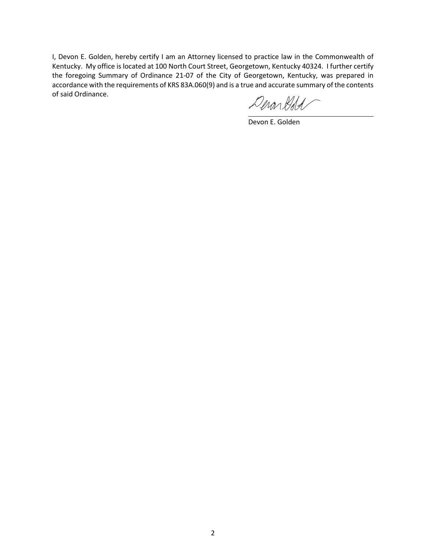I, Devon E. Golden, hereby certify I am an Attorney licensed to practice law in the Commonwealth of Kentucky. My office is located at 100 North Court Street, Georgetown, Kentucky 40324. I further certify the foregoing Summary of Ordinance 21-07 of the City of Georgetown, Kentucky, was prepared in accordance with the requirements of KRS 83A.060(9) and is a true and accurate summary of the contents of said Ordinance.

Demonded

Devon E. Golden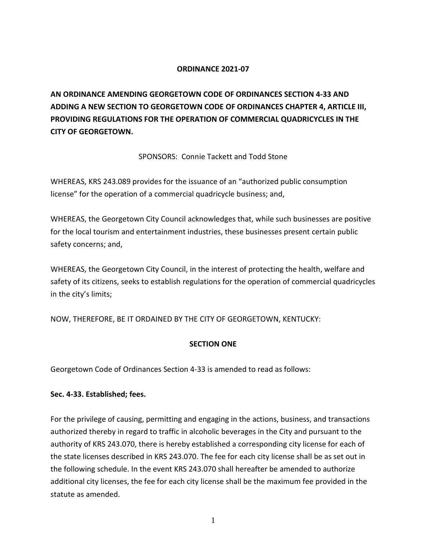#### **ORDINANCE 2021-07**

**AN ORDINANCE AMENDING GEORGETOWN CODE OF ORDINANCES SECTION 4-33 AND ADDING A NEW SECTION TO GEORGETOWN CODE OF ORDINANCES CHAPTER 4, ARTICLE III, PROVIDING REGULATIONS FOR THE OPERATION OF COMMERCIAL QUADRICYCLES IN THE CITY OF GEORGETOWN.**

SPONSORS: Connie Tackett and Todd Stone

WHEREAS, KRS 243.089 provides for the issuance of an "authorized public consumption license" for the operation of a commercial quadricycle business; and,

WHEREAS, the Georgetown City Council acknowledges that, while such businesses are positive for the local tourism and entertainment industries, these businesses present certain public safety concerns; and,

WHEREAS, the Georgetown City Council, in the interest of protecting the health, welfare and safety of its citizens, seeks to establish regulations for the operation of commercial quadricycles in the city's limits;

NOW, THEREFORE, BE IT ORDAINED BY THE CITY OF GEORGETOWN, KENTUCKY:

#### **SECTION ONE**

Georgetown Code of Ordinances Section 4-33 is amended to read as follows:

#### **Sec. 4-33. Established; fees.**

For the privilege of causing, permitting and engaging in the actions, business, and transactions authorized thereby in regard to traffic in alcoholic beverages in the City and pursuant to the authority of KRS 243.070, there is hereby established a corresponding city license for each of the state licenses described in KRS 243.070. The fee for each city license shall be as set out in the following schedule. In the event KRS 243.070 shall hereafter be amended to authorize additional city licenses, the fee for each city license shall be the maximum fee provided in the statute as amended.

1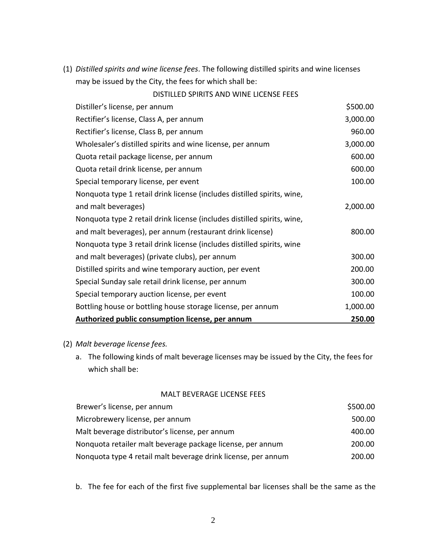(1) *Distilled spirits and wine license fees*. The following distilled spirits and wine licenses may be issued by the City, the fees for which shall be:

| DISTILLED SPIRITS AND WINE LICENSE FEES                                 |          |
|-------------------------------------------------------------------------|----------|
| Distiller's license, per annum                                          | \$500.00 |
| Rectifier's license, Class A, per annum                                 | 3,000.00 |
| Rectifier's license, Class B, per annum                                 | 960.00   |
| Wholesaler's distilled spirits and wine license, per annum              | 3,000.00 |
| Quota retail package license, per annum                                 | 600.00   |
| Quota retail drink license, per annum                                   | 600.00   |
| Special temporary license, per event                                    | 100.00   |
| Nonquota type 1 retail drink license (includes distilled spirits, wine, |          |
| and malt beverages)                                                     | 2,000.00 |
| Nonquota type 2 retail drink license (includes distilled spirits, wine, |          |
| and malt beverages), per annum (restaurant drink license)               | 800.00   |
| Nonquota type 3 retail drink license (includes distilled spirits, wine  |          |
| and malt beverages) (private clubs), per annum                          | 300.00   |
| Distilled spirits and wine temporary auction, per event                 | 200.00   |
| Special Sunday sale retail drink license, per annum                     | 300.00   |
| Special temporary auction license, per event                            | 100.00   |
| Bottling house or bottling house storage license, per annum             | 1,000.00 |
| Authorized public consumption license, per annum                        | 250.00   |
|                                                                         |          |

### (2) *Malt beverage license fees.*

a. The following kinds of malt beverage licenses may be issued by the City, the fees for which shall be:

#### MALT BEVERAGE LICENSE FEES

| Brewer's license, per annum                                   | \$500.00 |
|---------------------------------------------------------------|----------|
| Microbrewery license, per annum                               | 500.00   |
| Malt beverage distributor's license, per annum                | 400.00   |
| Nonquota retailer malt beverage package license, per annum    | 200.00   |
| Nonquota type 4 retail malt beverage drink license, per annum | 200.00   |

b. The fee for each of the first five supplemental bar licenses shall be the same as the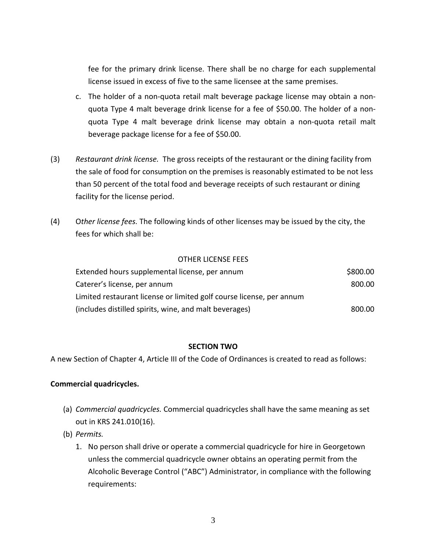fee for the primary drink license. There shall be no charge for each supplemental license issued in excess of five to the same licensee at the same premises.

- c. The holder of a non-quota retail malt beverage package license may obtain a nonquota Type 4 malt beverage drink license for a fee of \$50.00. The holder of a nonquota Type 4 malt beverage drink license may obtain a non-quota retail malt beverage package license for a fee of \$50.00.
- (3) *Restaurant drink license.* The gross receipts of the restaurant or the dining facility from the sale of food for consumption on the premises is reasonably estimated to be not less than 50 percent of the total food and beverage receipts of such restaurant or dining facility for the license period.
- (4) O*ther license fees.* The following kinds of other licenses may be issued by the city, the fees for which shall be:

#### OTHER LICENSE FEES

| Extended hours supplemental license, per annum                       | \$800.00 |
|----------------------------------------------------------------------|----------|
| Caterer's license, per annum                                         | 800.00   |
| Limited restaurant license or limited golf course license, per annum |          |
| (includes distilled spirits, wine, and malt beverages)               | 800.00   |

#### **SECTION TWO**

A new Section of Chapter 4, Article III of the Code of Ordinances is created to read as follows:

#### **Commercial quadricycles.**

- (a) *Commercial quadricycles.* Commercial quadricycles shall have the same meaning as set out in KRS 241.010(16).
- (b) *Permits.*
	- 1. No person shall drive or operate a commercial quadricycle for hire in Georgetown unless the commercial quadricycle owner obtains an operating permit from the Alcoholic Beverage Control ("ABC") Administrator, in compliance with the following requirements: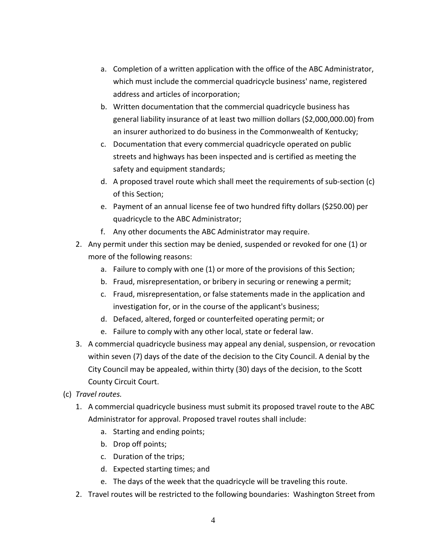- a. Completion of a written application with the office of the ABC Administrator, which must include the commercial quadricycle business' name, registered address and articles of incorporation;
- b. Written documentation that the commercial quadricycle business has general liability insurance of at least two million dollars (\$2,000,000.00) from an insurer authorized to do business in the Commonwealth of Kentucky;
- c. Documentation that every commercial quadricycle operated on public streets and highways has been inspected and is certified as meeting the safety and equipment standards;
- d. A proposed travel route which shall meet the requirements of sub-section (c) of this Section;
- e. Payment of an annual license fee of two hundred fifty dollars (\$250.00) per quadricycle to the ABC Administrator;
- f. Any other documents the ABC Administrator may require.
- 2. Any permit under this section may be denied, suspended or revoked for one (1) or more of the following reasons:
	- a. Failure to comply with one (1) or more of the provisions of this Section;
	- b. Fraud, misrepresentation, or bribery in securing or renewing a permit;
	- c. Fraud, misrepresentation, or false statements made in the application and investigation for, or in the course of the applicant's business;
	- d. Defaced, altered, forged or counterfeited operating permit; or
	- e. Failure to comply with any other local, state or federal law.
- 3. A commercial quadricycle business may appeal any denial, suspension, or revocation within seven (7) days of the date of the decision to the City Council. A denial by the City Council may be appealed, within thirty (30) days of the decision, to the Scott County Circuit Court.
- (c) *Travel routes.*
	- 1. A commercial quadricycle business must submit its proposed travel route to the ABC Administrator for approval. Proposed travel routes shall include:
		- a. Starting and ending points;
		- b. Drop off points;
		- c. Duration of the trips;
		- d. Expected starting times; and
		- e. The days of the week that the quadricycle will be traveling this route.
	- 2. Travel routes will be restricted to the following boundaries: Washington Street from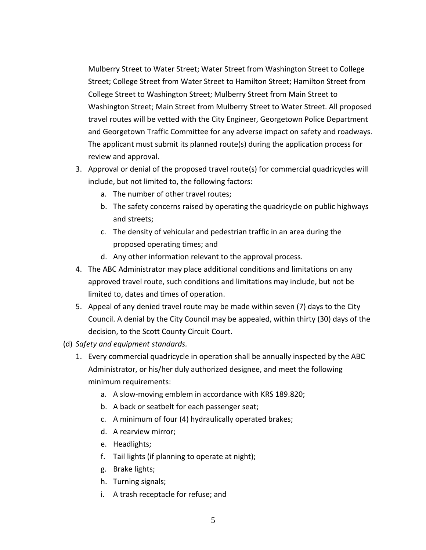Mulberry Street to Water Street; Water Street from Washington Street to College Street; College Street from Water Street to Hamilton Street; Hamilton Street from College Street to Washington Street; Mulberry Street from Main Street to Washington Street; Main Street from Mulberry Street to Water Street. All proposed travel routes will be vetted with the City Engineer, Georgetown Police Department and Georgetown Traffic Committee for any adverse impact on safety and roadways. The applicant must submit its planned route(s) during the application process for review and approval.

- 3. Approval or denial of the proposed travel route(s) for commercial quadricycles will include, but not limited to, the following factors:
	- a. The number of other travel routes;
	- b. The safety concerns raised by operating the quadricycle on public highways and streets;
	- c. The density of vehicular and pedestrian traffic in an area during the proposed operating times; and
	- d. Any other information relevant to the approval process.
- 4. The ABC Administrator may place additional conditions and limitations on any approved travel route, such conditions and limitations may include, but not be limited to, dates and times of operation.
- 5. Appeal of any denied travel route may be made within seven (7) days to the City Council. A denial by the City Council may be appealed, within thirty (30) days of the decision, to the Scott County Circuit Court.
- (d) *Safety and equipment standards.*
	- 1. Every commercial quadricycle in operation shall be annually inspected by the ABC Administrator, or his/her duly authorized designee, and meet the following minimum requirements:
		- a. A slow-moving emblem in accordance with KRS 189.820;
		- b. A back or seatbelt for each passenger seat;
		- c. A minimum of four (4) hydraulically operated brakes;
		- d. A rearview mirror;
		- e. Headlights;
		- f. Tail lights (if planning to operate at night);
		- g. Brake lights;
		- h. Turning signals;
		- i. A trash receptacle for refuse; and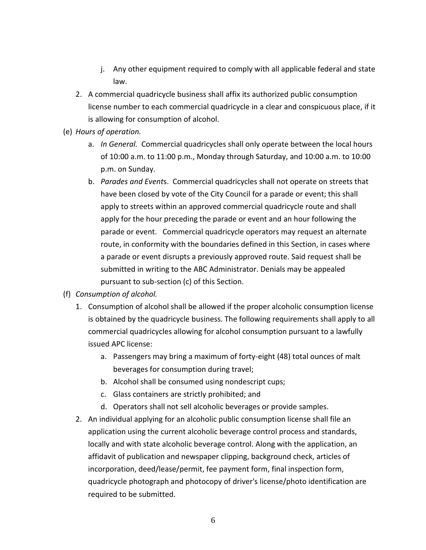- j. Any other equipment required to comply with all applicable federal and state law.
- 2. A commercial quadricycle business shall affix its authorized public consumption license number to each commercial quadricycle in a clear and conspicuous place, if it is allowing for consumption of alcohol.
- (e) *Hours of operation.* 
	- a. *In General.* Commercial quadricycles shall only operate between the local hours of 10:00 a.m. to 11:00 p.m., Monday through Saturday, and 10:00 a.m. to 10:00 p.m. on Sunday.
	- b. *Parades and Event*s. Commercial quadricycles shall not operate on streets that have been closed by vote of the City Council for a parade or event; this shall apply to streets within an approved commercial quadricycle route and shall apply for the hour preceding the parade or event and an hour following the parade or event. Commercial quadricycle operators may request an alternate route, in conformity with the boundaries defined in this Section, in cases where a parade or event disrupts a previously approved route. Said request shall be submitted in writing to the ABC Administrator. Denials may be appealed pursuant to sub-section (c) of this Section.
- (f) *Consumption of alcohol.*
	- 1. Consumption of alcohol shall be allowed if the proper alcoholic consumption license is obtained by the quadricycle business. The following requirements shall apply to all commercial quadricycles allowing for alcohol consumption pursuant to a lawfully issued APC license:
		- a. Passengers may bring a maximum of forty-eight (48) total ounces of malt beverages for consumption during travel;
		- b. Alcohol shall be consumed using nondescript cups;
		- c. Glass containers are strictly prohibited; and
		- d. Operators shall not sell alcoholic beverages or provide samples.
	- 2. An individual applying for an alcoholic public consumption license shall file an application using the current alcoholic beverage control process and standards, locally and with state alcoholic beverage control. Along with the application, an affidavit of publication and newspaper clipping, background check, articles of incorporation, deed/lease/permit, fee payment form, final inspection form, quadricycle photograph and photocopy of driver's license/photo identification are required to be submitted.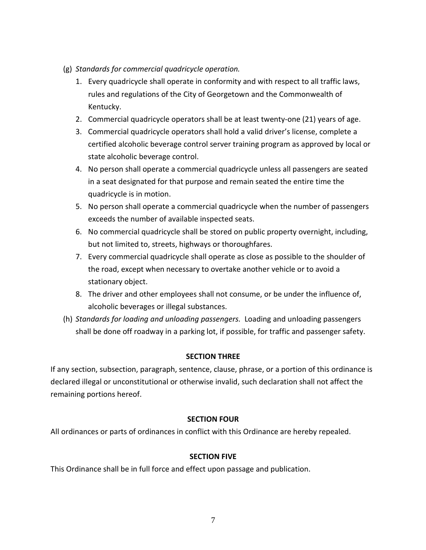- (g) *Standards for commercial quadricycle operation.* 
	- 1. Every quadricycle shall operate in conformity and with respect to all traffic laws, rules and regulations of the City of Georgetown and the Commonwealth of Kentucky.
	- 2. Commercial quadricycle operators shall be at least twenty-one (21) years of age.
	- 3. Commercial quadricycle operators shall hold a valid driver's license, complete a certified alcoholic beverage control server training program as approved by local or state alcoholic beverage control.
	- 4. No person shall operate a commercial quadricycle unless all passengers are seated in a seat designated for that purpose and remain seated the entire time the quadricycle is in motion.
	- 5. No person shall operate a commercial quadricycle when the number of passengers exceeds the number of available inspected seats.
	- 6. No commercial quadricycle shall be stored on public property overnight, including, but not limited to, streets, highways or thoroughfares.
	- 7. Every commercial quadricycle shall operate as close as possible to the shoulder of the road, except when necessary to overtake another vehicle or to avoid a stationary object.
	- 8. The driver and other employees shall not consume, or be under the influence of, alcoholic beverages or illegal substances.
- (h) *Standards for loading and unloading passengers.* Loading and unloading passengers shall be done off roadway in a parking lot, if possible, for traffic and passenger safety.

#### **SECTION THREE**

If any section, subsection, paragraph, sentence, clause, phrase, or a portion of this ordinance is declared illegal or unconstitutional or otherwise invalid, such declaration shall not affect the remaining portions hereof.

#### **SECTION FOUR**

All ordinances or parts of ordinances in conflict with this Ordinance are hereby repealed.

#### **SECTION FIVE**

This Ordinance shall be in full force and effect upon passage and publication.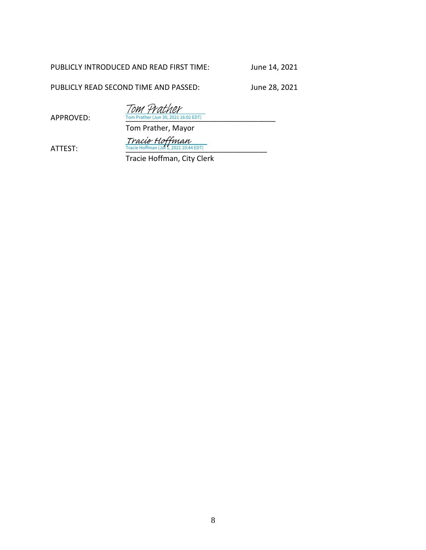#### PUBLICLY INTRODUCED AND READ FIRST TIME: June 14, 2021

PUBLICLY READ SECOND TIME AND PASSED: June 28, 2021

APPROVED: Tom Prather (Jun 30, 2021 16:02 EDT) Tom Prather

Tom Prather, Mayor

 $\frac{Trace\; Hoffman}{Trace\;Hoffman\;(Jul\;1, 2021\;10:44\;EDT)}$ 

Tracie Hoffman, City Clerk